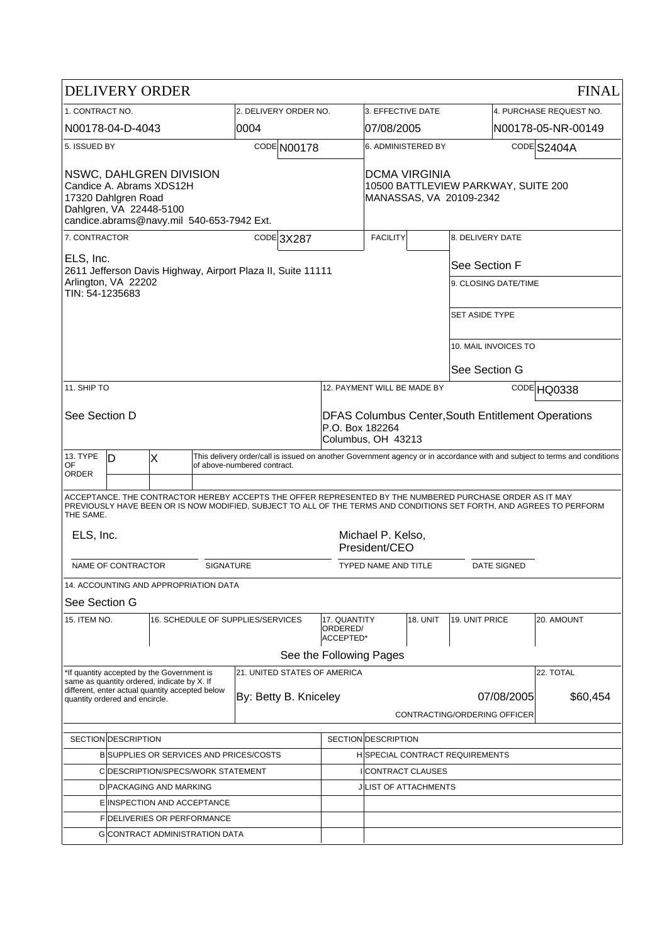| <b>DELIVERY ORDER</b>                                                                                                                              |                                                                                                                                                                     |                                       |                       |             |  |                                                                                                    |                                                                                 |                         |                                                                                                          |                      | <b>FINAL</b>                                                                                                         |  |
|----------------------------------------------------------------------------------------------------------------------------------------------------|---------------------------------------------------------------------------------------------------------------------------------------------------------------------|---------------------------------------|-----------------------|-------------|--|----------------------------------------------------------------------------------------------------|---------------------------------------------------------------------------------|-------------------------|----------------------------------------------------------------------------------------------------------|----------------------|----------------------------------------------------------------------------------------------------------------------|--|
| 1. CONTRACT NO.                                                                                                                                    |                                                                                                                                                                     |                                       | 2. DELIVERY ORDER NO. |             |  | 3. EFFECTIVE DATE                                                                                  |                                                                                 | 4. PURCHASE REQUEST NO. |                                                                                                          |                      |                                                                                                                      |  |
| N00178-04-D-4043                                                                                                                                   |                                                                                                                                                                     |                                       | 0004                  |             |  | 07/08/2005                                                                                         |                                                                                 |                         | N00178-05-NR-00149                                                                                       |                      |                                                                                                                      |  |
| 5. ISSUED BY                                                                                                                                       |                                                                                                                                                                     |                                       |                       | CODE N00178 |  | 6. ADMINISTERED BY                                                                                 |                                                                                 |                         | CODE S2404A                                                                                              |                      |                                                                                                                      |  |
| NSWC, DAHLGREN DIVISION<br>Candice A. Abrams XDS12H<br>17320 Dahlgren Road<br>Dahlgren, VA 22448-5100<br>candice.abrams@navy.mil 540-653-7942 Ext. |                                                                                                                                                                     |                                       |                       |             |  |                                                                                                    | DCMA VIRGINIA<br>10500 BATTLEVIEW PARKWAY, SUITE 200<br>MANASSAS, VA 20109-2342 |                         |                                                                                                          |                      |                                                                                                                      |  |
| 7. CONTRACTOR<br>CODE 3X287                                                                                                                        |                                                                                                                                                                     |                                       |                       |             |  | <b>FACILITY</b><br>8. DELIVERY DATE                                                                |                                                                                 |                         |                                                                                                          |                      |                                                                                                                      |  |
| ELS, Inc.<br>2611 Jefferson Davis Highway, Airport Plaza II, Suite 11111                                                                           |                                                                                                                                                                     |                                       |                       |             |  |                                                                                                    |                                                                                 |                         |                                                                                                          | See Section F        |                                                                                                                      |  |
| Arlington, VA 22202<br>TIN: 54-1235683                                                                                                             |                                                                                                                                                                     |                                       |                       |             |  |                                                                                                    | 9. CLOSING DATE/TIME                                                            |                         |                                                                                                          |                      |                                                                                                                      |  |
|                                                                                                                                                    |                                                                                                                                                                     |                                       |                       |             |  |                                                                                                    | <b>SET ASIDE TYPE</b>                                                           |                         |                                                                                                          |                      |                                                                                                                      |  |
|                                                                                                                                                    |                                                                                                                                                                     |                                       |                       |             |  |                                                                                                    |                                                                                 |                         |                                                                                                          | 10. MAIL INVOICES TO |                                                                                                                      |  |
|                                                                                                                                                    |                                                                                                                                                                     |                                       |                       |             |  |                                                                                                    |                                                                                 |                         | See Section G                                                                                            |                      |                                                                                                                      |  |
| 11. SHIP TO                                                                                                                                        |                                                                                                                                                                     |                                       |                       |             |  | 12. PAYMENT WILL BE MADE BY                                                                        |                                                                                 |                         | CODE HQ0338                                                                                              |                      |                                                                                                                      |  |
| See Section D                                                                                                                                      |                                                                                                                                                                     |                                       |                       |             |  | <b>DFAS Columbus Center, South Entitlement Operations</b><br>P.O. Box 182264<br>Columbus, OH 43213 |                                                                                 |                         |                                                                                                          |                      |                                                                                                                      |  |
| 13. TYPE<br>0F                                                                                                                                     | This delivery order/call is issued on another Government agency or in accordance with and subject to terms and conditions<br>ID<br>X<br>of above-numbered contract. |                                       |                       |             |  |                                                                                                    |                                                                                 |                         |                                                                                                          |                      |                                                                                                                      |  |
| <b>ORDER</b>                                                                                                                                       |                                                                                                                                                                     |                                       |                       |             |  |                                                                                                    |                                                                                 |                         |                                                                                                          |                      |                                                                                                                      |  |
| THE SAME.                                                                                                                                          |                                                                                                                                                                     |                                       |                       |             |  |                                                                                                    |                                                                                 |                         | ACCEPTANCE. THE CONTRACTOR HEREBY ACCEPTS THE OFFER REPRESENTED BY THE NUMBERED PURCHASE ORDER AS IT MAY |                      | PREVIOUSLY HAVE BEEN OR IS NOW MODIFIED, SUBJECT TO ALL OF THE TERMS AND CONDITIONS SET FORTH, AND AGREES TO PERFORM |  |
| Michael P. Kelso,<br>ELS, Inc.<br>President/CEO                                                                                                    |                                                                                                                                                                     |                                       |                       |             |  |                                                                                                    |                                                                                 |                         |                                                                                                          |                      |                                                                                                                      |  |
| NAME OF CONTRACTOR<br><b>SIGNATURE</b>                                                                                                             |                                                                                                                                                                     |                                       |                       |             |  | <b>DATE SIGNED</b><br>TYPED NAME AND TITLE                                                         |                                                                                 |                         |                                                                                                          |                      |                                                                                                                      |  |
|                                                                                                                                                    |                                                                                                                                                                     | 14. ACCOUNTING AND APPROPRIATION DATA |                       |             |  |                                                                                                    |                                                                                 |                         |                                                                                                          |                      |                                                                                                                      |  |
| See Section G                                                                                                                                      |                                                                                                                                                                     |                                       |                       |             |  |                                                                                                    |                                                                                 |                         |                                                                                                          |                      |                                                                                                                      |  |
| 15. ITEM NO.                                                                                                                                       |                                                                                                                                                                     | 16. SCHEDULE OF SUPPLIES/SERVICES     |                       |             |  | 17. QUANTITY<br>ORDERED/<br>ACCEPTED*                                                              |                                                                                 | <b>18. UNIT</b>         | 19. UNIT PRICE                                                                                           |                      | 20. AMOUNT                                                                                                           |  |
|                                                                                                                                                    |                                                                                                                                                                     |                                       |                       |             |  |                                                                                                    | See the Following Pages                                                         |                         |                                                                                                          |                      |                                                                                                                      |  |
| 21. UNITED STATES OF AMERICA<br>*If quantity accepted by the Government is<br>same as quantity ordered, indicate by X. If                          |                                                                                                                                                                     |                                       |                       |             |  |                                                                                                    |                                                                                 |                         |                                                                                                          |                      | 22. TOTAL                                                                                                            |  |
| different, enter actual quantity accepted below<br>By: Betty B. Kniceley<br>quantity ordered and encircle.                                         |                                                                                                                                                                     |                                       |                       |             |  |                                                                                                    |                                                                                 |                         | 07/08/2005                                                                                               | \$60,454             |                                                                                                                      |  |
|                                                                                                                                                    |                                                                                                                                                                     |                                       |                       |             |  |                                                                                                    |                                                                                 |                         | CONTRACTING/ORDERING OFFICER                                                                             |                      |                                                                                                                      |  |
|                                                                                                                                                    |                                                                                                                                                                     |                                       |                       |             |  |                                                                                                    |                                                                                 |                         |                                                                                                          |                      |                                                                                                                      |  |
| SECTION DESCRIPTION<br><b>BISUPPLIES OR SERVICES AND PRICES/COSTS</b>                                                                              |                                                                                                                                                                     |                                       |                       |             |  |                                                                                                    | SECTION DESCRIPTION<br><b>HISPECIAL CONTRACT REQUIREMENTS</b>                   |                         |                                                                                                          |                      |                                                                                                                      |  |
| C DESCRIPTION/SPECS/WORK STATEMENT                                                                                                                 |                                                                                                                                                                     |                                       |                       |             |  | I CONTRACT CLAUSES                                                                                 |                                                                                 |                         |                                                                                                          |                      |                                                                                                                      |  |
| DIPACKAGING AND MARKING                                                                                                                            |                                                                                                                                                                     |                                       |                       |             |  |                                                                                                    | J LIST OF ATTACHMENTS                                                           |                         |                                                                                                          |                      |                                                                                                                      |  |
| E INSPECTION AND ACCEPTANCE                                                                                                                        |                                                                                                                                                                     |                                       |                       |             |  |                                                                                                    |                                                                                 |                         |                                                                                                          |                      |                                                                                                                      |  |
| FIDELIVERIES OR PERFORMANCE                                                                                                                        |                                                                                                                                                                     |                                       |                       |             |  |                                                                                                    |                                                                                 |                         |                                                                                                          |                      |                                                                                                                      |  |
| <b>G</b> CONTRACT ADMINISTRATION DATA                                                                                                              |                                                                                                                                                                     |                                       |                       |             |  |                                                                                                    |                                                                                 |                         |                                                                                                          |                      |                                                                                                                      |  |